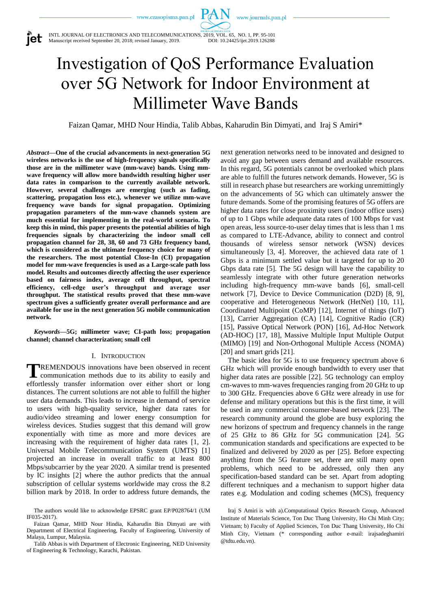www.journals.pan.pl



INTL JOURNAL OF ELECTRONICS AND TELECOMMUNICATIONS, 2019, VOL. 65, NO. 1, PP. 95-101<br>Manuscript received September 20, 2018; revised January, 2019. DOI: 10.24425/ijet.2019.126288 Manuscript received September 20, 2018; revised January, 2019.

# Investigation of QoS Performance Evaluation over 5G Network for Indoor Environment at Millimeter Wave Bands

PAN

Faizan Qamar, MHD Nour Hindia, Talib Abbas, Kaharudin Bin Dimyati, and Iraj S Amiri\*

*Abstract***—One of the crucial advancements in next-generation 5G wireless networks is the use of high-frequency signals specifically those are in the millimeter wave (mm-wave) bands. Using mmwave frequency will allow more bandwidth resulting higher user data rates in comparison to the currently available network. However, several challenges are emerging (such as fading, scattering, propagation loss etc.), whenever we utilize mm-wave frequency wave bands for signal propagation. Optimizing propagation parameters of the mm-wave channels system are much essential for implementing in the real-world scenario. To keep this in mind, this paper presents the potential abilities of high frequencies signals by characterizing the indoor small cell propagation channel for 28, 38, 60 and 73 GHz frequency band, which is considered as the ultimate frequency choice for many of the researchers. The most potential Close-In (CI) propagation model for mm-wave frequencies is used as a Large-scale path loss model. Results and outcomes directly affecting the user experience based on fairness index, average cell throughput, spectral efficiency, cell-edge user's throughput and average user throughput. The statistical results proved that these mm-wave spectrum gives a sufficiently greater overall performance and are available for use in the next generation 5G mobile communication network.**

*Keywords***—5G; millimeter wave; CI-path loss; propagation channel; channel characterization; small cell**

## I. INTRODUCTION

REMENDOUS innovations have been observed in recent **TREMENDOUS** innovations have been observed in recent communication methods due to its ability to easily and effortlessly transfer information over either short or long distances. The current solutions are not able to fulfill the higher user data demands. This leads to increase in demand of service to users with high-quality service, higher data rates for audio/video streaming and lower energy consumption for wireless devices. Studies suggest that this demand will grow exponentially with time as more and more devices are increasing with the requirement of higher data rates [1, 2]. Universal Mobile Telecommunication System (UMTS) [1] projected an increase in overall traffic to at least 800 Mbps/subcarrier by the year 2020. A similar trend is presented by IC insights [2] where the author predicts that the annual subscription of cellular systems worldwide may cross the 8.2 billion mark by 2018. In order to address future demands, the

The authors would like to acknowledge EPSRC grant EP/P028764/1 (UM IF035-2017).

Faizan Qamar, MHD Nour Hindia, Kaharudin Bin Dimyati are with Department of Electrical Engineering, Faculty of Engineering, University of Malaya, Lumpur, Malaysia.

Talib Abbasis with Department of Electronic Engineering, NED University of Engineering & Technology, Karachi, Pakistan.

next generation networks need to be innovated and designed to avoid any gap between users demand and available resources. In this regard, 5G potentials cannot be overlooked which plans are able to fulfill the futures network demands. However, 5G is still in research phase but researchers are working unremittingly on the advancements of 5G which can ultimately answer the future demands. Some of the promising features of 5G offers are higher data rates for close proximity users (indoor office users) of up to 1 Gbps while adequate data rates of 100 Mbps for vast open areas, less source-to-user delay times that is less than 1 ms as compared to LTE-Advance, ability to connect and control thousands of wireless sensor network (WSN) devices simultaneously [3, 4]. Moreover, the achieved data rate of 1 Gbps is a minimum settled value but it targeted for up to 20 Gbps data rate [5]. The 5G design will have the capability to seamlessly integrate with other future generation networks including high-frequency mm-wave bands [6], small-cell network [7], Device to Device Communication (D2D) [8, 9], cooperative and Heterogeneous Network (HetNet) [10, 11], Coordinated Multipoint (CoMP) [12], Internet of things (IoT) [13], Carrier Aggregation (CA) [14], Cognitive Radio (CR) [15], Passive Optical Network (PON) [16], Ad-Hoc Network (AD-HOC) [17, 18], Massive Multiple Input Multiple Output (MIMO) [19] and Non-Orthogonal Multiple Access (NOMA) [20] and smart grids [21].

The basic idea for 5G is to use frequency spectrum above 6 GHz which will provide enough bandwidth to every user that higher data rates are possible [22]. 5G technology can employ cm-waves to mm-waves frequencies ranging from 20 GHz to up to 300 GHz. Frequencies above 6 GHz were already in use for defense and military operations but this is the first time, it will be used in any commercial consumer-based network [23]. The research community around the globe are busy exploring the new horizons of spectrum and frequency channels in the range of 25 GHz to 86 GHz for 5G communication [24]. 5G communication standards and specifications are expected to be finalized and delivered by 2020 as per [25]. Before expecting anything from the 5G feature set, there are still many open problems, which need to be addressed, only then any specification-based standard can be set. Apart from adopting different techniques and a mechanism to support higher data rates e.g. Modulation and coding schemes (MCS), frequency

Iraj S Amiri is with a).Computational Optics Research Group, Advanced Institute of Materials Science, Ton Duc Thang University, Ho Chi Minh City; Vietnam; b) Faculty of Applied Sciences, Ton Duc Thang University, Ho Chi Minh City, Vietnam (\* corresponding author e-mail: irajsadeghamiri @tdtu.edu.vn).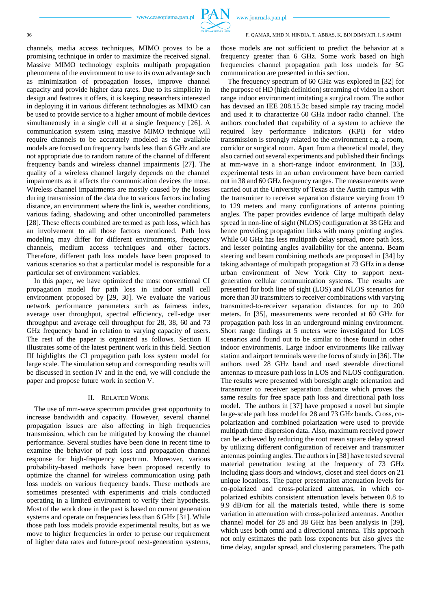www.journals.pan.pl

#### 96 F. QAMAR, MHD N. HINDIA, T. ABBAS, K. BIN DIMYATI, I. S AMIRI

channels, media access techniques, MIMO proves to be a promising technique in order to maximize the received signal. Massive MIMO technology exploits multipath propagation phenomena of the environment to use to its own advantage such as minimization of propagation losses, improve channel capacity and provide higher data rates. Due to its simplicity in design and features it offers, it is keeping researchers interested in deploying it in various different technologies as MIMO can be used to provide service to a higher amount of mobile devices simultaneously in a single cell at a single frequency [26]. A communication system using massive MIMO technique will require channels to be accurately modeled as the available models are focused on frequency bands less than 6 GHz and are not appropriate due to random nature of the channel of different frequency bands and wireless channel impairments [27]. The quality of a wireless channel largely depends on the channel impairments as it affects the communication devices the most. Wireless channel impairments are mostly caused by the losses during transmission of the data due to various factors including distance, an environment where the link is, weather conditions, various fading, shadowing and other uncontrolled parameters [28]. These effects combined are termed as path loss, which has an involvement to all those factors mentioned. Path loss modeling may differ for different environments, frequency channels, medium access techniques and other factors. Therefore, different path loss models have been proposed to various scenarios so that a particular model is responsible for a particular set of environment variables.

In this paper, we have optimized the most conventional CI propagation model for path loss in indoor small cell environment proposed by [29, 30]. We evaluate the various network performance parameters such as fairness index, average user throughput, spectral efficiency, cell-edge user throughput and average cell throughput for 28, 38, 60 and 73 GHz frequency band in relation to varying capacity of users. The rest of the paper is organized as follows. Section II illustrates some of the latest pertinent work in this field. Section III highlights the CI propagation path loss system model for large scale. The simulation setup and corresponding results will be discussed in section IV and in the end, we will conclude the paper and propose future work in section V.

# II. RELATED WORK

The use of mm-wave spectrum provides great opportunity to increase bandwidth and capacity. However, several channel propagation issues are also affecting in high frequencies transmission, which can be mitigated by knowing the channel performance. Several studies have been done in recent time to examine the behavior of path loss and propagation channel response for high-frequency spectrum. Moreover, various probability-based methods have been proposed recently to optimize the channel for wireless communication using path loss models on various frequency bands. These methods are sometimes presented with experiments and trials conducted operating in a limited environment to verify their hypothesis. Most of the work done in the past is based on current generation systems and operate on frequencies less than 6 GHz [31]. While those path loss models provide experimental results, but as we move to higher frequencies in order to peruse our requirement of higher data rates and future-proof next-generation systems,

those models are not sufficient to predict the behavior at a frequency greater than 6 GHz. Some work based on high frequencies channel propagation path loss models for 5G communication are presented in this section.

The frequency spectrum of 60 GHz was explored in [32] for the purpose of HD (high definition) streaming of video in a short range indoor environment imitating a surgical room. The author has devised an IEE 208.15.3c based simple ray tracing model and used it to characterize 60 GHz indoor radio channel. The authors concluded that capability of a system to achieve the required key performance indicators (KPI) for video transmission is strongly related to the environment e.g. a room, corridor or surgical room. Apart from a theoretical model, they also carried out several experiments and published their findings at mm-wave in a short-range indoor environment. In [33], experimental tests in an urban environment have been carried out in 38 and 60 GHz frequency ranges. The measurements were carried out at the University of Texas at the Austin campus with the transmitter to receiver separation distance varying from 19 to 129 meters and many configurations of antenna pointing angles. The paper provides evidence of large multipath delay spread in non-line of sight (NLOS) configuration at 38 GHz and hence providing propagation links with many pointing angles. While 60 GHz has less multipath delay spread, more path loss, and lesser pointing angles availability for the antenna. Beam steering and beam combining methods are proposed in [34] by taking advantage of multipath propagation at 73 GHz in a dense urban environment of New York City to support nextgeneration cellular communication systems. The results are presented for both line of sight (LOS) and NLOS scenarios for more than 30 transmitters to receiver combinations with varying transmitted-to-receiver separation distances for up to 200 meters. In [35], measurements were recorded at 60 GHz for propagation path loss in an underground mining environment. Short range findings at 5 meters were investigated for LOS scenarios and found out to be similar to those found in other indoor environments. Large indoor environments like railway station and airport terminals were the focus of study in [36]. The authors used 28 GHz band and used steerable directional antennas to measure path loss in LOS and NLOS configuration. The results were presented with boresight angle orientation and transmitter to receiver separation distance which proves the same results for free space path loss and directional path loss model. The authors in [37] have proposed a novel but simple large-scale path loss model for 28 and 73 GHz bands. Cross, copolarization and combined polarization were used to provide multipath time dispersion data. Also, maximum received power can be achieved by reducing the root mean square delay spread by utilizing different configuration of receiver and transmitter antennas pointing angles. The authors in [38] have tested several material penetration testing at the frequency of 73 GHz including glass doors and windows, closet and steel doors on 21 unique locations. The paper presentation attenuation levels for co-polarized and cross-polarized antennas, in which copolarized exhibits consistent attenuation levels between 0.8 to 9.9 dB/cm for all the materials tested, while there is some variation in attenuation with cross-polarized antennas. Another channel model for 28 and 38 GHz has been analysis in [39], which uses both omni and a directional antenna. This approach not only estimates the path loss exponents but also gives the time delay, angular spread, and clustering parameters. The path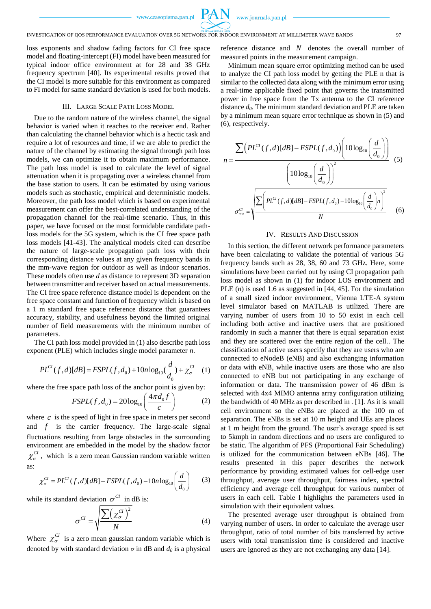

loss exponents and shadow fading factors for CI free space model and floating-intercept (FI) model have been measured for typical indoor office environment at for 28 and 38 GHz frequency spectrum [40]. Its experimental results proved that the CI model is more suitable for this environment as compared to FI model for same standard deviation is used for both models.

#### III. LARGE SCALE PATH LOSS MODEL

Due to the random nature of the wireless channel, the signal behavior is varied when it reaches to the receiver end. Rather than calculating the channel behavior which is a hectic task and require a lot of resources and time, if we are able to predict the nature of the channel by estimating the signal through path loss models, we can optimize it to obtain maximum performance. The path loss model is used to calculate the level of signal attenuation when it is propagating over a wireless channel from the base station to users. It can be estimated by using various models such as stochastic, empirical and deterministic models. Moreover, the path loss model which is based on experimental measurement can offer the best-correlated understanding of the propagation channel for the real-time scenario. Thus, in this paper, we have focused on the most formidable candidate pathloss models for the 5G system, which is the CI free space path loss models [41-43]. The analytical models cited can describe the nature of large-scale propagation path loss with their corresponding distance values at any given frequency bands in the mm-wave region for outdoor as well as indoor scenarios. These models often use *d* as distance to represent 3D separation between transmitter and receiver based on actual measurements. The CI free space reference distance model is dependent on the free space constant and function of frequency which is based on a 1 m standard free space reference distance that guarantees accuracy, stability, and usefulness beyond the limited original number of field measurements with the minimum number of parameters.

The CI path loss model provided in (1) also describe path loss exponent (PLE) which includes single model parameter *n*.

$$
PL^{Cl}(f,d)[dB] = FSPL(f,d_0) + 10n \log_{10}(\frac{d}{d_0}) + \chi_{\sigma}^{Cl}
$$
 (1)

where the free space path loss of the anchor point is given by:  
\n
$$
FSPL(f, d_0) = 20 \log_{10} \left( \frac{4 \pi d_0 f}{c} \right) \tag{2}
$$

where  $c$  is the speed of light in free space in meters per second and  $f$  is the carrier frequency. The large-scale signal fluctuations resulting from large obstacles in the surrounding environment are embedded in the model by the shadow factor  $\chi_{\sigma}^{CI}$ , which is a zero mean Gaussian random variable written as:  $\left(\frac{d}{a}\right)$  (3)

$$
\chi_{\sigma}^{Cl} = PL^{Cl}(f,d)[dB] - FSPL(f,d_0) - 10n \log_{10} \left(\frac{d}{d_0}\right) \tag{3}
$$

while its standard deviation  $\sigma^{CI}$  in dB is:

$$
\sigma^{CI} = \sqrt{\frac{\sum (\chi^{CI}_{\sigma})^2}{N}}
$$
 (4)

Where  $\chi_{\sigma}^{CI}$  is a zero mean gaussian random variable which is denoted by with standard deviation  $\sigma$  in dB and  $d_0$  is a physical

reference distance and *N* denotes the overall number of measured points in the measurement campaign.

Minimum mean square error optimizing method can be used to analyze the CI path loss model by getting the PLE n that is similar to the collected data along with the minimum error using a real-time applicable fixed point that governs the transmitted power in free space from the Tx antenna to the CI reference distance *d0*. The minimum standard deviation and PLE are taken by a minimum mean square error technique as shown in (5) and (6), respectively.

$$
n = \frac{\sum (PL^{Cl}(f,d)[dB] - FSPL(f,d_0)) \left(10\log_{10}\left(\frac{d}{d_0}\right)\right)}{\left(10\log_{10}\left(\frac{d}{d_0}\right)\right)^2} \tag{5}
$$
\n
$$
\sigma_{\min}^{Cl} = \sqrt{\frac{\sum \left(PL^{Cl}(f,d)[dB] - FSPL(f,d_0) - 10\log_{10}\left(\frac{d}{d_0}\right)n\right)^2}{N}} \tag{6}
$$

#### IV. RESULTS AND DISCUSSION

In this section, the different network performance parameters have been calculating to validate the potential of various 5G frequency bands such as 28, 38, 60 and 73 GHz. Here, some simulations have been carried out by using CI propagation path loss model as shown in (1) for indoor LOS environment and PLE (*n*) is used 1.6 as suggested in [44, 45]. For the simulation of a small sized indoor environment, Vienna LTE-A system level simulator based on MATLAB is utilized. There are varying number of users from 10 to 50 exist in each cell including both active and inactive users that are positioned randomly in such a manner that there is equal separation exist and they are scattered over the entire region of the cell.. The classification of active users specify that they are users who are connected to eNodeB (eNB) and also exchanging information or data with eNB, while inactive users are those who are also connected to eNB but not participating in any exchange of information or data. The transmission power of 46 dBm is selected with 4x4 MIMO antenna array configuration utilizing the bandwidth of 40 MHz as per described in . [1]. As it is small cell environment so the eNBs are placed at the 100 m of separation. The eNBs is set at 10 m height and UEs are places at 1 m height from the ground. The user's average speed is set to 5kmph in random directions and no users are configured to be static. The algorithm of PFS (Proportional Fair Scheduling) is utilized for the communication between eNBs [46]. The results presented in this paper describes the network performance by providing estimated values for cell-edge user throughput, average user throughput, fairness index, spectral efficiency and average cell throughput for various number of users in each cell. Table I highlights the parameters used in simulation with their equivalent values.

The presented average user throughput is obtained from varying number of users. In order to calculate the average user throughput, ratio of total number of bits transferred by active users with total transmission time is considered and inactive users are ignored as they are not exchanging any data [14].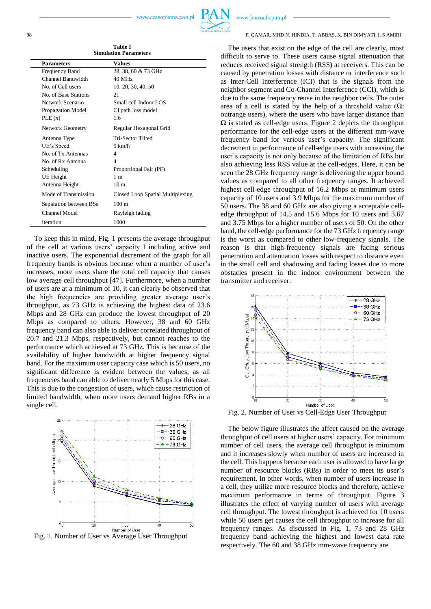**Table I Simulation Parameters**

| <b>Parameters</b>       | <b>Values</b>                    |
|-------------------------|----------------------------------|
| <b>Frequency Band</b>   | 28, 38, 60 & 73 GHz              |
| Channel Bandwidth       | 40 MHz                           |
| No. of Cell users       | 10, 20, 30, 40, 50               |
| No. of Base Stations    | 21                               |
| Network Scenario        | Small cell Indoor LOS            |
| Propagation Model       | CI path loss model               |
| PLE(n)                  | 1.6                              |
| <b>Network Geometry</b> | Regular Hexagonal Grid           |
| Antenna Type            | Tri-Sector Tilted                |
| UE's Speed              | $5 \text{ km/h}$                 |
| No. of Tx Antennas      | 4                                |
| No. of Rx Antenna       | 4                                |
| Scheduling              | Proportional Fair (PF)           |
| UE Height               | 1 <sub>m</sub>                   |
| Antenna Height          | 10 <sub>m</sub>                  |
| Mode of Transmission    | Closed Loop Spatial Multiplexing |
| Separation between BSs  | $100 \text{ m}$                  |
| <b>Channel Model</b>    | Rayleigh fading                  |
| Iteration               | 1000                             |

To keep this in mind, Fig. 1 presents the average throughput of the cell at various users' capacity l including active and inactive users. The exponential decrement of the graph for all frequency bands is obvious because when a number of user's increases, more users share the total cell capacity that causes low average cell throughput [47]. Furthermore, when a number of users are at a minimum of 10, it can clearly be observed that the high frequencies are providing greater average user's throughput, as 73 GHz is achieving the highest data of 23.6 Mbps and 28 GHz can produce the lowest throughput of 20 Mbps as compared to others. However, 38 and 60 GHz frequency band can also able to deliver correlated throughput of 20.7 and 21.3 Mbps, respectively, but cannot reaches to the performance which achieved at 73 GHz. This is because of the availability of higher bandwidth at higher frequency signal band. For the maximum user capacity case which is 50 users, no significant difference is evident between the values, as all frequencies band can able to deliver nearly 5 Mbps for this case. This is due to the congestion of users, which cause restriction of limited bandwidth, when more users demand higher RBs in a single cell.



Fig. 1. Number of User vs Average User Throughput

www.journals.pan.pl

#### 98 F. QAMAR, MHD N. HINDIA, T. ABBAS, K. BIN DIMYATI, I. S AMIRI

The users that exist on the edge of the cell are clearly, most difficult to serve to. These users cause signal attenuation that reduces received signal strength (RSS) at receivers. This can be caused by penetration losses with distance or interference such as Inter-Cell Interference (ICI) that is the signals from the neighbor segment and Co-Channel Interference (CCI), which is due to the same frequency reuse in the neighbor cells. The outer area of a cell is stated by the help of a threshold value  $(\Omega)$ : outrange users), where the users who have larger distance than  $\Omega$  is stated as cell-edge users. Figure 2 depicts the throughput performance for the cell-edge users at the different mm-wave frequency band for various user's capacity. The significant decrement in performance of cell-edge users with increasing the user's capacity is not only because of the limitation of RBs but also achieving less RSS value at the cell-edges. Here, it can be seen the 28 GHz frequency range is delivering the upper bound values as compared to all other frequency ranges. It achieved highest cell-edge throughput of 16.2 Mbps at minimum users capacity of 10 users and 3.9 Mbps for the maximum number of 50 users. The 38 and 60 GHz are also giving a acceptable celledge throughput of 14.5 and 15.6 Mbps for 10 users and 3.67 and 3.75 Mbps for a higher number of users of 50. On the other hand, the cell-edge performance for the 73 GHz frequency range is the worst as compared to other low-frequency signals. The reason is that high-frequency signals are facing serious penetration and attenuation losses with respect to distance even in the small cell and shadowing and fading losses due to more obstacles present in the indoor environment between the transmitter and receiver.



Fig. 2. Number of User vs Cell-Edge User Throughput

The below figure illustrates the affect caused on the average throughput of cell users at higher users' capacity. For minimum number of cell users, the average cell throughput is minimum and it increases slowly when number of users are increased in the cell. This happens because each user is allowed to have large number of resource blocks (RBs) in order to meet its user's requirement. In other words, when number of users increase in a cell, they utilize more resource blocks and therefore, achieve maximum performance in terms of throughput. Figure 3 illustrates the effect of varying number of users with average cell throughput. The lowest throughput is achieved for 10 users while 50 users get causes the cell throughput to increase for all frequency ranges. As discussed in Fig. 1, 73 and 28 GHz frequency band achieving the highest and lowest data rate respectively. The 60 and 38 GHz mm-wave frequency are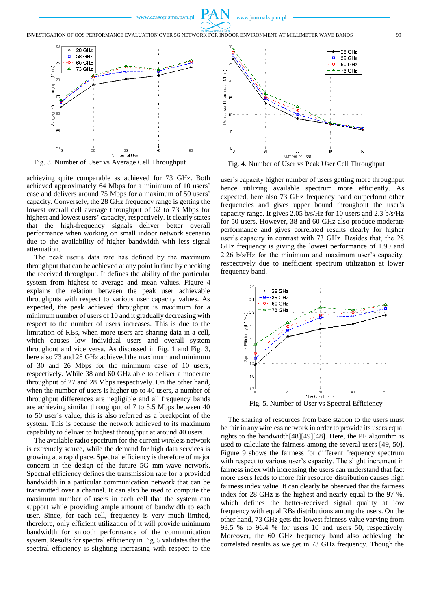

INVESTIGATION OF QOS PERFORMANCE EVALUATION OVER 5G NETWORK FOR INDOOR ENVIRONMENT AT MILLIMETER WAVE BANDS 99





achieving quite comparable as achieved for 73 GHz. Both achieved approximately 64 Mbps for a minimum of 10 users' case and delivers around 75 Mbps for a maximum of 50 users' capacity. Conversely, the 28 GHz frequency range is getting the lowest overall cell average throughput of 62 to 73 Mbps for highest and lowest users' capacity, respectively. It clearly states that the high-frequency signals deliver better overall performance when working on small indoor network scenario due to the availability of higher bandwidth with less signal attenuation.

The peak user's data rate has defined by the maximum throughput that can be achieved at any point in time by checking the received throughput. It defines the ability of the particular system from highest to average and mean values. Figure 4 explains the relation between the peak user achievable throughputs with respect to various user capacity values. As expected, the peak achieved throughput is maximum for a minimum number of users of 10 and it gradually decreasing with respect to the number of users increases. This is due to the limitation of RBs, when more users are sharing data in a cell, which causes low individual users and overall system throughout and vice versa. As discussed in Fig. 1 and Fig. 3, here also 73 and 28 GHz achieved the maximum and minimum of 30 and 26 Mbps for the minimum case of 10 users, respectively. While 38 and 60 GHz able to deliver a moderate throughput of 27 and 28 Mbps respectively. On the other hand, when the number of users is higher up to 40 users, a number of throughput differences are negligible and all frequency bands are achieving similar throughput of 7 to 5.5 Mbps between 40 to 50 user's value, this is also referred as a breakpoint of the system. This is because the network achieved to its maximum capability to deliver to highest throughput at around 40 users.

The available radio spectrum for the current wireless network is extremely scarce, while the demand for high data services is growing at a rapid pace. Spectral efficiency is therefore of major concern in the design of the future 5G mm-wave network. Spectral efficiency defines the transmission rate for a provided bandwidth in a particular communication network that can be transmitted over a channel. It can also be used to compute the maximum number of users in each cell that the system can support while providing ample amount of bandwidth to each user. Since, for each cell, frequency is very much limited, therefore, only efficient utilization of it will provide minimum bandwidth for smooth performance of the communication system. Results for spectral efficiency in Fig. 5 validates that the spectral efficiency is slighting increasing with respect to the



Fig. 4. Number of User vs Peak User Cell Throughput

user's capacity higher number of users getting more throughput hence utilizing available spectrum more efficiently. As expected, here also 73 GHz frequency band outperform other frequencies and gives upper bound throughout the user's capacity range. It gives 2.05 b/s/Hz for 10 users and 2.3 b/s/Hz for 50 users. However, 38 and 60 GHz also produce moderate performance and gives correlated results clearly for higher user's capacity in contrast with 73 GHz. Besides that, the 28 GHz frequency is giving the lowest performance of 1.90 and 2.26 b/s/Hz for the minimum and maximum user's capacity, respectively due to inefficient spectrum utilization at lower frequency band.



The sharing of resources from base station to the users must be fair in any wireless network in order to provide its users equal rights to the bandwidth[48][49][48]. Here, the PF algorithm is used to calculate the fairness among the several users [49, 50]. Figure 9 shows the fairness for different frequency spectrum with respect to various user's capacity. The slight increment in fairness index with increasing the users can understand that fact more users leads to more fair resource distribution causes high fairness index value. It can clearly be observed that the fairness index for 28 GHz is the highest and nearly equal to the 97 %, which defines the better-received signal quality at low frequency with equal RBs distributions among the users. On the other hand, 73 GHz gets the lowest fairness value varying from 93.5 % to 96.4 % for users 10 and users 50, respectively. Moreover, the 60 GHz frequency band also achieving the correlated results as we get in 73 GHz frequency. Though the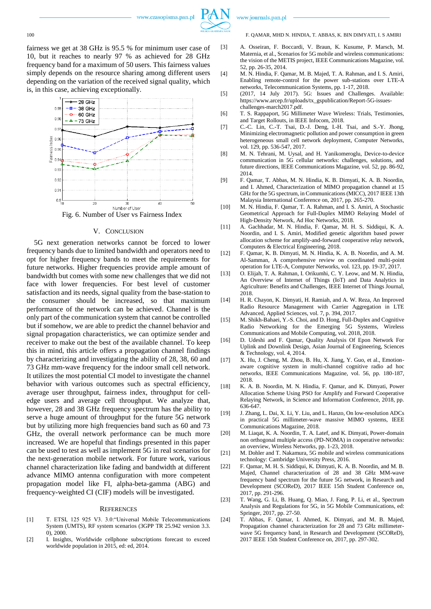

fairness we get at 38 GHz is 95.5 % for minimum user case of 10, but it reaches to nearly 97 % as achieved for 28 GHz frequency band for a maximum of 50 users. This fairness values simply depends on the resource sharing among different users depending on the variation of the received signal quality, which is, in this case, achieving exceptionally.



## V. CONCLUSION

5G next generation networks cannot be forced to lower frequency bands due to limited bandwidth and operators need to opt for higher frequency bands to meet the requirements for future networks. Higher frequencies provide ample amount of bandwidth but comes with some new challenges that we did not face with lower frequencies. For best level of customer satisfaction and its needs, signal quality from the base-station to the consumer should be increased, so that maximum performance of the network can be achieved. Channel is the only part of the communication system that cannot be controlled but if somehow, we are able to predict the channel behavior and signal propagation characteristics, we can optimize sender and receiver to make out the best of the available channel. To keep this in mind, this article offers a propagation channel findings by characterizing and investigating the ability of 28, 38, 60 and 73 GHz mm-wave frequency for the indoor small cell network. It utilizes the most potential CI model to investigate the channel behavior with various outcomes such as spectral efficiency, average user throughput, fairness index, throughput for celledge users and average cell throughput. We analyze that, however, 28 and 38 GHz frequency spectrum has the ability to serve a huge amount of throughput for the future 5G network but by utilizing more high frequencies band such as 60 and 73 GHz, the overall network performance can be much more increased. We are hopeful that findings presented in this paper can be used to test as well as implement 5G in real scenarios for the next-generation mobile network. For future work, various channel characterization like fading and bandwidth at different advance MIMO antenna configuration with more competent propagation model like FI, alpha-beta-gamma (ABG) and frequency-weighted CI (CIF) models will be investigated.

### **REFERENCES**

- [1] T. ETSI, 125 925 V3. 3.0:"Universal Mobile Telecommunications System (UMTS), RF system scenarios (3GPP TR 25.942 version 3.3. 0), 2000.
- [2] I. Insights, Worldwide cellphone subscriptions forecast to exceed worldwide population in 2015, ed: ed, 2014.

[3] A. Osseiran, F. Boccardi, V. Braun, K. Kusume, P. Marsch, M. Maternia, et al., Scenarios for 5G mobile and wireless communications: the vision of the METIS project, IEEE Communications Magazine, vol. 52, pp. 26-35, 2014.

- [4] M. N. Hindia, F. Qamar, M. B. Majed, T. A. Rahman, and I. S. Amiri, Enabling remote-control for the power sub-stations over LTE-A networks, Telecommunication Systems, pp. 1-17, 2018.
- [5] (2017, 14 July 2017). 5G: Issues and Challenges. Available: https://www.arcep.fr/uploads/tx\_gspublication/Report-5G-issueschallenges-march2017.pdf.
- [6] T. S. Rappaport, 5G Millimeter Wave Wireless: Trials, Testimonies, and Target Rollouts, in IEEE Infocom, 2018.
- [7] C.-C. Lin, C.-T. Tsai, D.-J. Deng, I.-H. Tsai, and S.-Y. Jhong, Minimizing electromagnetic pollution and power consumption in green heterogeneous small cell network deployment, Computer Networks, vol. 129, pp. 536-547, 2017.
- [8] M. N. Tehrani, M. Uysal, and H. Yanikomeroglu, Device-to-device communication in 5G cellular networks: challenges, solutions, and future directions, IEEE Communications Magazine, vol. 52, pp. 86-92, 2014.
- [9] F. Qamar, T. Abbas, M. N. Hindia, K. B. Dimyati, K. A. B. Noordin, and I. Ahmed, Characterization of MIMO propagation channel at 15 GHz for the 5G spectrum, in Communications (MICC), 2017 IEEE 13th Malaysia International Conference on, 2017, pp. 265-270.
- [10] M. N. Hindia, F. Qamar, T. A. Rahman, and I. S. Amiri, A Stochastic Geometrical Approach for Full-Duplex MIMO Relaying Model of High-Density Network, Ad Hoc Networks, 2018.
- [11] A. Gachhadar, M. N. Hindia, F. Qamar, M. H. S. Siddiqui, K. A. Noordin, and I. S. Amiri, Modified genetic algorithm based power allocation scheme for amplify-and-forward cooperative relay network, Computers & Electrical Engineering, 2018.
- [12] F. Qamar, K. B. Dimyati, M. N. Hindia, K. A. B. Noordin, and A. M. Al-Samman, A comprehensive review on coordinated multi-point operation for LTE-A, Computer Networks, vol. 123, pp. 19-37, 2017.
- [13] O. Elijah, T. A. Rahman, I. Orikumhi, C. Y. Leow, and M. N. Hindia, An Overview of Internet of Things (IoT) and Data Analytics in Agriculture: Benefits and Challenges, IEEE Internet of Things Journal, 2018.
- [14] H. R. Chayon, K. Dimyati, H. Ramiah, and A. W. Reza, An Improved Radio Resource Management with Carrier Aggregation in LTE Advanced, Applied Sciences, vol. 7, p. 394, 2017.
- [15] M. Shikh-Bahaei, Y.-S. Choi, and D. Hong, Full-Duplex and Cognitive Radio Networking for the Emerging 5G Systems, Communications and Mobile Computing, vol. 2018, 2018.
- [16] D. Udeshi and F. Qamar, Quality Analysis Of Epon Network For Uplink and Downlink Design, Asian Journal of Engineering, Sciences & Technology, vol. 4, 2014.
- [17] X. Hu, J. Cheng, M. Zhou, B. Hu, X. Jiang, Y. Guo, et al., Emotionaware cognitive system in multi-channel cognitive radio ad hoc networks, IEEE Communications Magazine, vol. 56, pp. 180-187, 2018.
- [18] K. A. B. Noordin, M. N. Hindia, F. Qamar, and K. Dimyati, Power Allocation Scheme Using PSO for Amplify and Forward Cooperative Relaying Network, in Science and Information Conference, 2018, pp. 636-647.
- [19] J. Zhang, L. Dai, X. Li, Y. Liu, and L. Hanzo, On low-resolution ADCs in practical 5G millimeter-wave massive MIMO systems, IEEE Communications Magazine, 2018.
- [20] M. Liaqat, K. A. Noordin, T. A. Latef, and K. Dimyati, Power-domain non orthogonal multiple access (PD-NOMA) in cooperative networks: an overview, Wireless Networks, pp. 1-23, 2018.
- [21] M. Dohler and T. Nakamura, 5G mobile and wireless communications technology: Cambridge University Press, 2016.
- [22] F. Qamar, M. H. S. Siddiqui, K. Dimyati, K. A. B. Noordin, and M. B. Majed, Channel characterization of 28 and 38 GHz MM-wave frequency band spectrum for the future 5G network, in Research and Development (SCOReD), 2017 IEEE 15th Student Conference on, 2017, pp. 291-296.
- [23] T. Wang, G. Li, B. Huang, Q. Miao, J. Fang, P. Li, et al., Spectrum Analysis and Regulations for 5G, in 5G Mobile Communications, ed: Springer, 2017, pp. 27-50.
- [24] T. Abbas, F. Qamar, I. Ahmed, K. Dimyati, and M. B. Majed, Propagation channel characterization for 28 and 73 GHz millimeterwave 5G frequency band, in Research and Development (SCOReD), 2017 IEEE 15th Student Conference on, 2017, pp. 297-302.

## www.journals.pan.pl